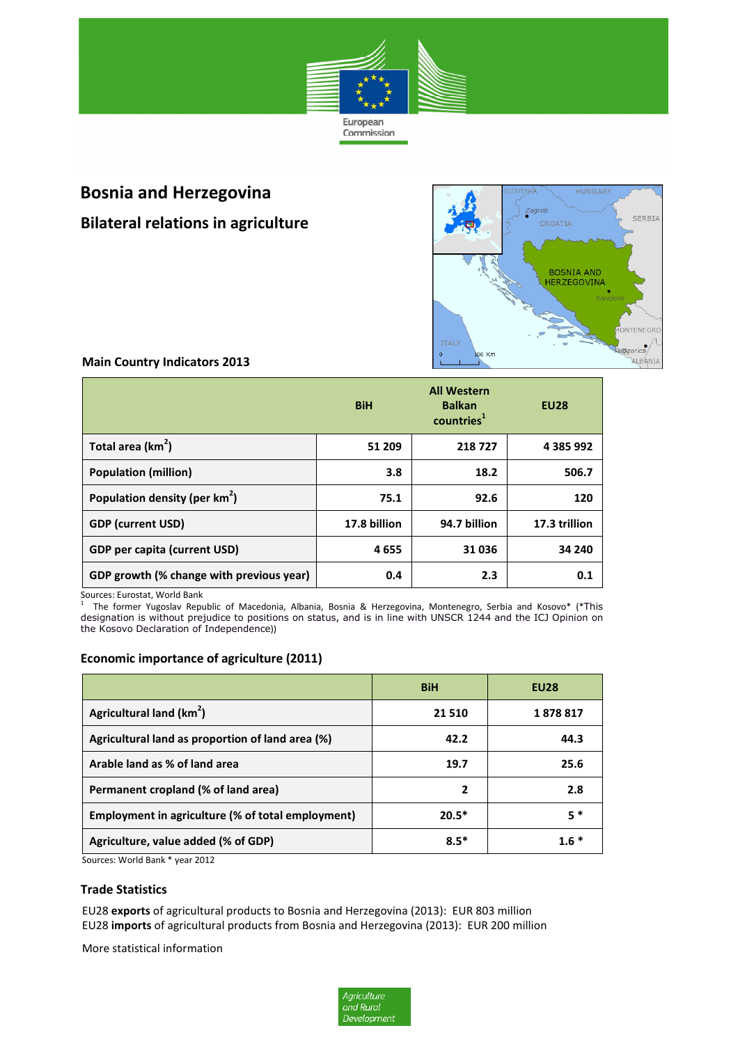

# **Bosnia and Herzegovina**

**Bilateral relations in agriculture**



# **Main Country Indicators 2013**

|                                          | <b>BiH</b>   | <b>All Western</b><br><b>Balkan</b><br>countries <sup>1</sup> | <b>EU28</b>   |
|------------------------------------------|--------------|---------------------------------------------------------------|---------------|
| Total area $(km^2)$                      | 51 209       | 218727                                                        | 4 385 992     |
| <b>Population (million)</b>              | 3.8          | 18.2                                                          | 506.7         |
| Population density (per $km^2$ )         | 75.1         | 92.6                                                          | 120           |
| <b>GDP (current USD)</b>                 | 17.8 billion | 94.7 billion                                                  | 17.3 trillion |
| <b>GDP</b> per capita (current USD)      | 4655         | 31036                                                         | 34 240        |
| GDP growth (% change with previous year) | 0.4          | 2.3                                                           | 0.1           |

Sources: Eurostat, World Bank<br><sup>1</sup> The fermer Yugoslav Bonu

 The former Yugoslav Republic of Macedonia, Albania, Bosnia & Herzegovina, Montenegro, Serbia and Kosovo\* (\*This designation is without prejudice to positions on status, and is in line with UNSCR 1244 and the ICJ Opinion on the Kosovo Declaration of Independence))

# **Economic importance of agriculture (2011)**

|                                                   | <b>BiH</b>     | <b>EU28</b> |
|---------------------------------------------------|----------------|-------------|
| Agricultural land (km <sup>2</sup> )              | 21 5 10        | 1878817     |
| Agricultural land as proportion of land area (%)  | 42.2           | 44.3        |
| Arable land as % of land area                     | 19.7           | 25.6        |
| Permanent cropland (% of land area)               | $\overline{2}$ | 2.8         |
| Employment in agriculture (% of total employment) | $20.5*$        | 5 *         |
| Agriculture, value added (% of GDP)               | $8.5*$         | $1.6*$      |

Sources: World Bank \* year 2012

#### **Trade Statistics**

EU28 **exports** of agricultural products to Bosnia and Herzegovina (2013): EUR 803 million EU28 **imports** of agricultural products from Bosnia and Herzegovina (2013): EUR 200 million

More statistical information

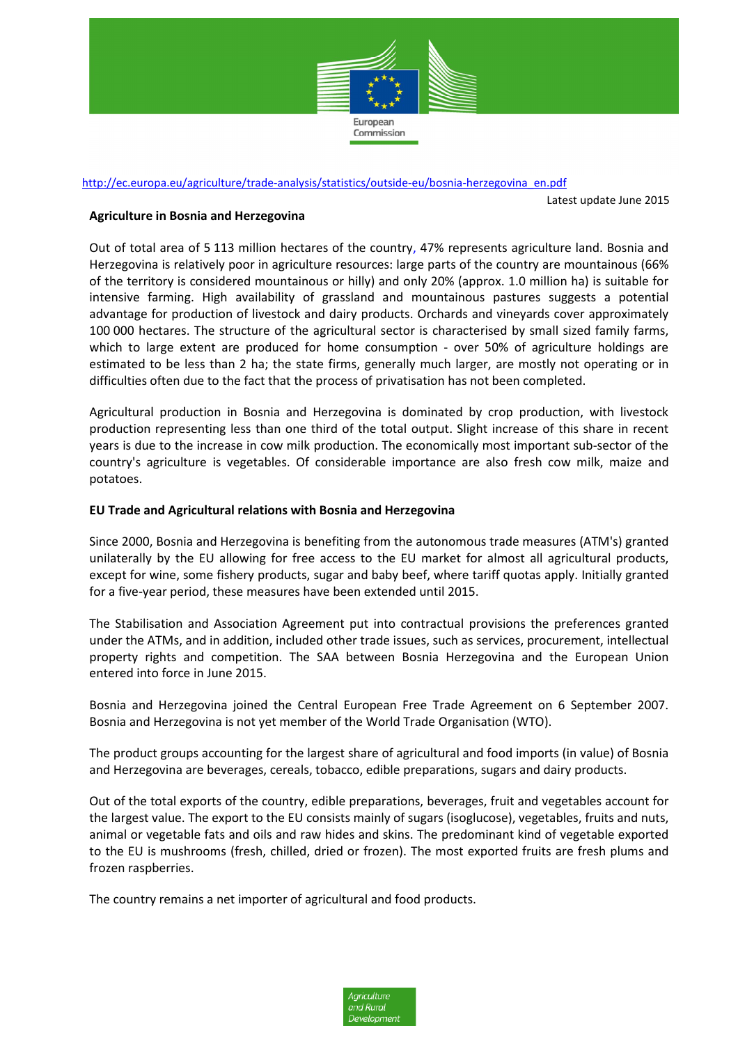

## http://ec.europa.eu/agriculture/trade-analysis/statistics/outside-eu/bosnia-herzegovina\_en.pdf

Latest update June 2015

#### **Agriculture in Bosnia and Herzegovina**

Out of total area of 5 113 million hectares of the country, 47% represents agriculture land. Bosnia and Herzegovina is relatively poor in agriculture resources: large parts of the country are mountainous (66% of the territory is considered mountainous or hilly) and only 20% (approx. 1.0 million ha) is suitable for intensive farming. High availability of grassland and mountainous pastures suggests a potential advantage for production of livestock and dairy products. Orchards and vineyards cover approximately 100 000 hectares. The structure of the agricultural sector is characterised by small sized family farms, which to large extent are produced for home consumption - over 50% of agriculture holdings are estimated to be less than 2 ha; the state firms, generally much larger, are mostly not operating or in difficulties often due to the fact that the process of privatisation has not been completed.

Agricultural production in Bosnia and Herzegovina is dominated by crop production, with livestock production representing less than one third of the total output. Slight increase of this share in recent years is due to the increase in cow milk production. The economically most important sub-sector of the country's agriculture is vegetables. Of considerable importance are also fresh cow milk, maize and potatoes.

#### **EU Trade and Agricultural relations with Bosnia and Herzegovina**

Since 2000, Bosnia and Herzegovina is benefiting from the autonomous trade measures (ATM's) granted unilaterally by the EU allowing for free access to the EU market for almost all agricultural products, except for wine, some fishery products, sugar and baby beef, where tariff quotas apply. Initially granted for a five-year period, these measures have been extended until 2015.

The Stabilisation and Association Agreement put into contractual provisions the preferences granted under the ATMs, and in addition, included other trade issues, such as services, procurement, intellectual property rights and competition. The SAA between Bosnia Herzegovina and the European Union entered into force in June 2015.

Bosnia and Herzegovina joined the Central European Free Trade Agreement on 6 September 2007. Bosnia and Herzegovina is not yet member of the World Trade Organisation (WTO).

The product groups accounting for the largest share of agricultural and food imports (in value) of Bosnia and Herzegovina are beverages, cereals, tobacco, edible preparations, sugars and dairy products.

Out of the total exports of the country, edible preparations, beverages, fruit and vegetables account for the largest value. The export to the EU consists mainly of sugars (isoglucose), vegetables, fruits and nuts, animal or vegetable fats and oils and raw hides and skins. The predominant kind of vegetable exported to the EU is mushrooms (fresh, chilled, dried or frozen). The most exported fruits are fresh plums and frozen raspberries.

The country remains a net importer of agricultural and food products.